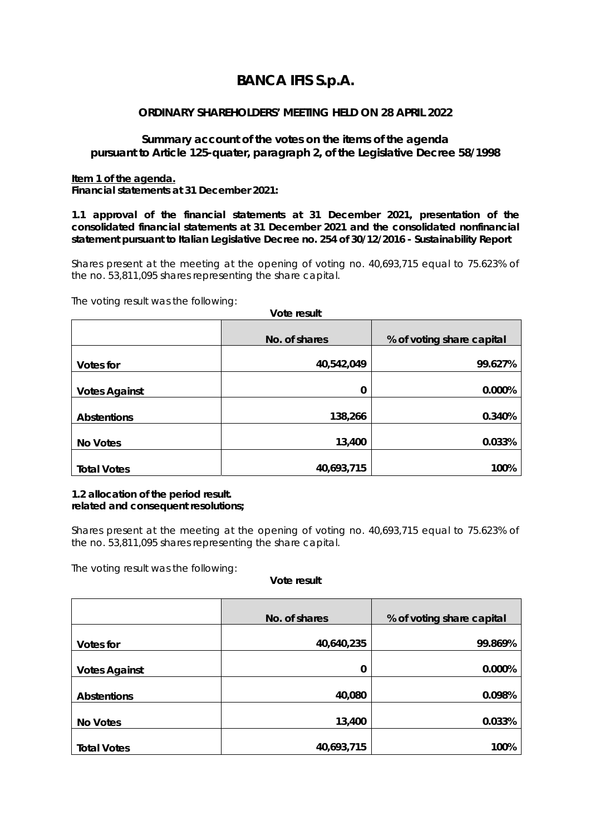# **BANCA IFIS S.p.A.**

## **ORDINARY SHAREHOLDERS' MEETING HELD ON 28 APRIL 2022**

## **Summary account of the votes on the items of the agenda pursuant to Article 125-quater, paragraph 2, of the Legislative Decree 58/1998**

#### **Item 1 of the agenda.**

*Financial statements at 31 December 2021:* 

*1.1 approval of the financial statements at 31 December 2021, presentation of the consolidated financial statements at 31 December 2021 and the consolidated nonfinancial statement pursuant to Italian Legislative Decree no. 254 of 30/12/2016 - Sustainability Report* 

Shares present at the meeting at the opening of voting no. 40,693,715 equal to 75.623% of the no. 53,811,095 shares representing the share capital.

**Vote result** 

The voting result was the following:

|                      | .             |                           |  |
|----------------------|---------------|---------------------------|--|
|                      | No. of shares | % of voting share capital |  |
| Votes for            | 40,542,049    | 99.627%                   |  |
| <b>Votes Against</b> | 0             | 0.000%                    |  |
| <b>Abstentions</b>   | 138,266       | 0.340%                    |  |
| <b>No Votes</b>      | 13,400        | 0.033%                    |  |
| <b>Total Votes</b>   | 40,693,715    | 100%                      |  |

## *1.2 allocation of the period result. related and consequent resolutions;*

Shares present at the meeting at the opening of voting no. 40,693,715 equal to 75.623% of the no. 53,811,095 shares representing the share capital.

The voting result was the following:

|                      | No. of shares | % of voting share capital |
|----------------------|---------------|---------------------------|
| <b>Votes for</b>     | 40,640,235    | 99.869%                   |
|                      |               |                           |
| <b>Votes Against</b> | 0             | 0.000%                    |
| <b>Abstentions</b>   | 40,080        | 0.098%                    |
| No Votes             | 13,400        | 0.033%                    |
| <b>Total Votes</b>   | 40,693,715    | 100%                      |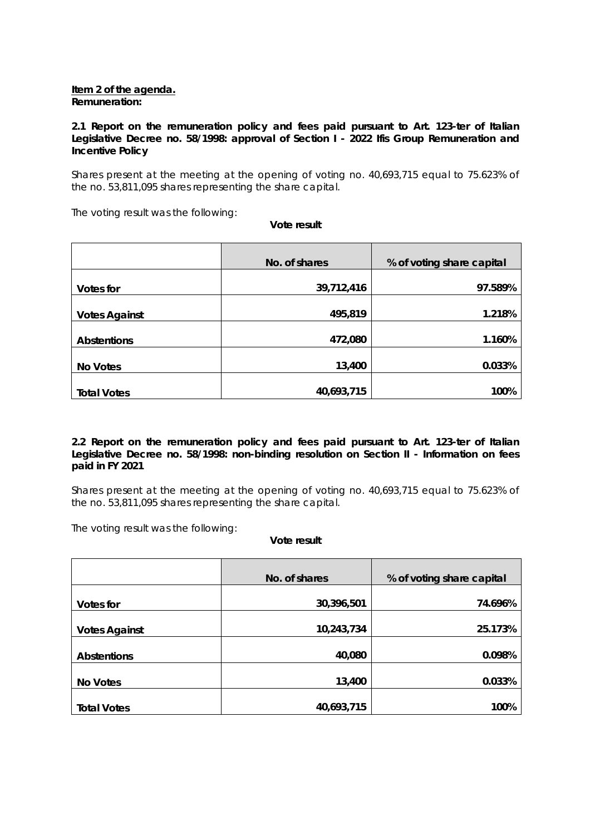#### **Item 2 of the agenda.**  *Remuneration:*

## *2.1 Report on the remuneration policy and fees paid pursuant to Art. 123-ter of Italian Legislative Decree no. 58/1998: approval of Section I - 2022 Ifis Group Remuneration and Incentive Policy*

Shares present at the meeting at the opening of voting no. 40,693,715 equal to 75.623% of the no. 53,811,095 shares representing the share capital.

The voting result was the following:

**Vote result** 

|                      | No. of shares | % of voting share capital |
|----------------------|---------------|---------------------------|
| Votes for            | 39,712,416    | 97.589%                   |
| <b>Votes Against</b> | 495,819       | 1.218%                    |
| <b>Abstentions</b>   | 472,080       | 1.160%                    |
| No Votes             | 13,400        | 0.033%                    |
| <b>Total Votes</b>   | 40,693,715    | 100%                      |

## *2.2 Report on the remuneration policy and fees paid pursuant to Art. 123-ter of Italian Legislative Decree no. 58/1998: non-binding resolution on Section II - Information on fees paid in FY 2021*

Shares present at the meeting at the opening of voting no. 40,693,715 equal to 75.623% of the no. 53,811,095 shares representing the share capital.

The voting result was the following:

|                      | No. of shares | % of voting share capital |
|----------------------|---------------|---------------------------|
| Votes for            | 30,396,501    | 74.696%                   |
|                      |               |                           |
| <b>Votes Against</b> | 10,243,734    | 25.173%                   |
| <b>Abstentions</b>   | 40,080        | 0.098%                    |
| No Votes             | 13,400        | 0.033%                    |
| <b>Total Votes</b>   | 40,693,715    | 100%                      |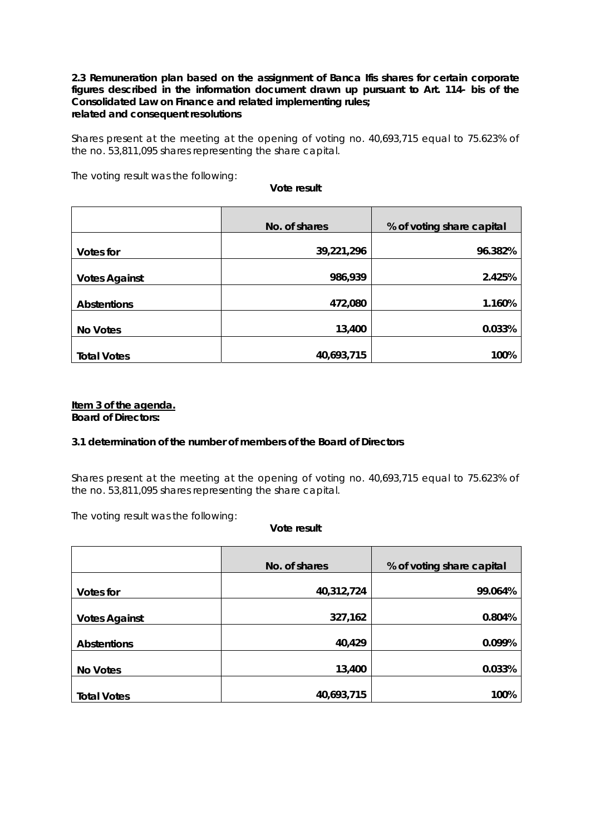#### **2.3** *Remuneration plan based on the assignment of Banca Ifis shares for certain corporate figures described in the information document drawn up pursuant to Art. 114- bis of the Consolidated Law on Finance and related implementing rules; related and consequent resolutions*

Shares present at the meeting at the opening of voting no. 40,693,715 equal to 75.623% of the no. 53,811,095 shares representing the share capital.

The voting result was the following:

**Vote result** 

|                      | No. of shares | % of voting share capital |
|----------------------|---------------|---------------------------|
| <b>Votes for</b>     | 39,221,296    | 96.382%                   |
| <b>Votes Against</b> | 986,939       | 2.425%                    |
| <b>Abstentions</b>   | 472,080       | 1.160%                    |
| No Votes             | 13,400        | 0.033%                    |
| <b>Total Votes</b>   | 40,693,715    | 100%                      |

## **Item 3 of the agenda.**

*Board of Directors:* 

## *3.1 determination of the number of members of the Board of Directors*

Shares present at the meeting at the opening of voting no. 40,693,715 equal to 75.623% of the no. 53,811,095 shares representing the share capital.

The voting result was the following:

|                      | No. of shares | % of voting share capital |
|----------------------|---------------|---------------------------|
| Votes for            | 40,312,724    | 99.064%                   |
| <b>Votes Against</b> | 327,162       | 0.804%                    |
| <b>Abstentions</b>   | 40,429        | 0.099%                    |
| <b>No Votes</b>      | 13,400        | 0.033%                    |
| <b>Total Votes</b>   | 40,693,715    | 100%                      |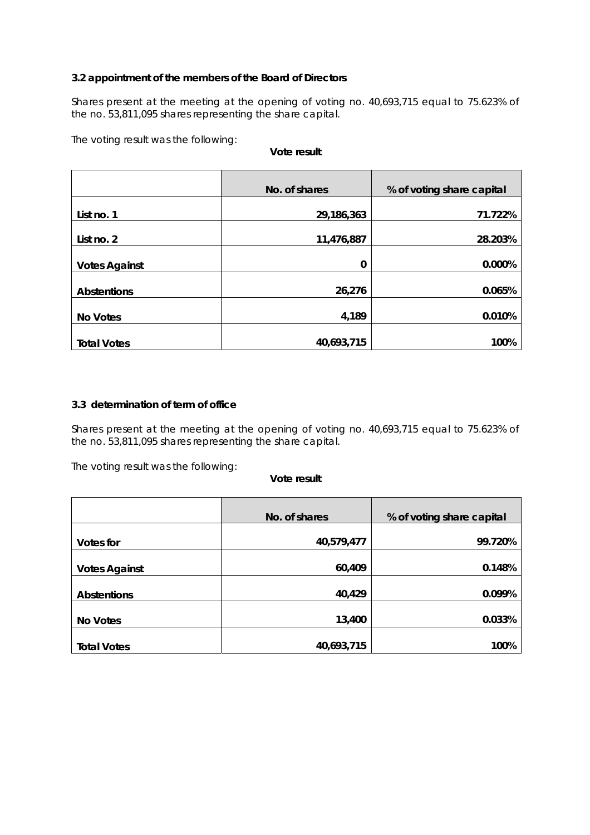## *3.2 appointment of the members of the Board of Directors*

Shares present at the meeting at the opening of voting no. 40,693,715 equal to 75.623% of the no. 53,811,095 shares representing the share capital.

The voting result was the following:

#### **Vote result**

|                      | No. of shares | % of voting share capital |
|----------------------|---------------|---------------------------|
| List no. 1           | 29,186,363    | 71.722%                   |
| List no. 2           | 11,476,887    | 28.203%                   |
| <b>Votes Against</b> | 0             | 0.000%                    |
| <b>Abstentions</b>   | 26,276        | 0.065%                    |
| <b>No Votes</b>      | 4,189         | 0.010%                    |
| <b>Total Votes</b>   | 40,693,715    | 100%                      |

#### *3.3 determination of term of office*

Shares present at the meeting at the opening of voting no. 40,693,715 equal to 75.623% of the no. 53,811,095 shares representing the share capital.

The voting result was the following:

|                      | No. of shares | % of voting share capital |
|----------------------|---------------|---------------------------|
| Votes for            | 40,579,477    | 99.720%                   |
| <b>Votes Against</b> | 60,409        | 0.148%                    |
| <b>Abstentions</b>   | 40,429        | 0.099%                    |
| No Votes             | 13,400        | 0.033%                    |
| <b>Total Votes</b>   | 40,693,715    | 100%                      |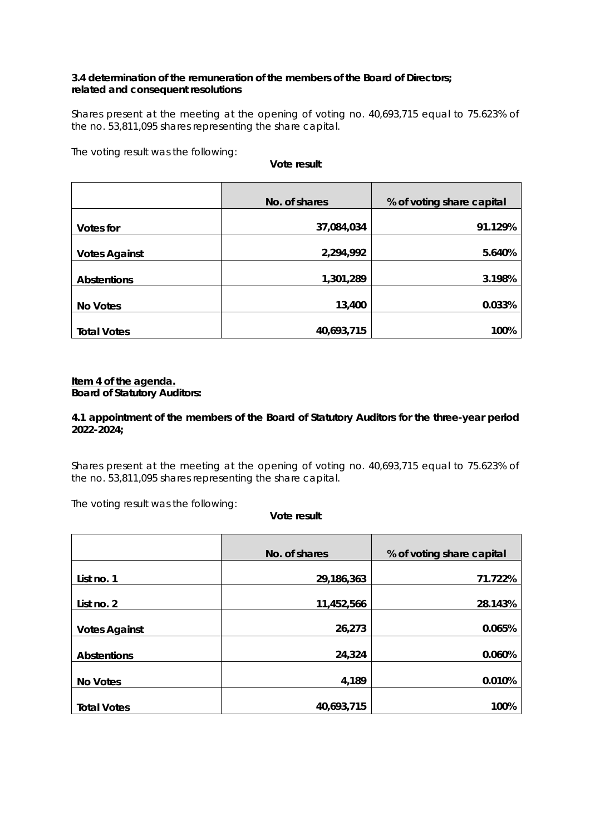## *3.4 determination of the remuneration of the members of the Board of Directors; related and consequent resolutions*

Shares present at the meeting at the opening of voting no. 40,693,715 equal to 75.623% of the no. 53,811,095 shares representing the share capital.

The voting result was the following:

**Vote result** 

|                      | No. of shares | % of voting share capital |
|----------------------|---------------|---------------------------|
| <b>Votes for</b>     | 37,084,034    | 91.129%                   |
| <b>Votes Against</b> | 2,294,992     | 5.640%                    |
| <b>Abstentions</b>   | 1,301,289     | 3.198%                    |
| <b>No Votes</b>      | 13,400        | 0.033%                    |
| <b>Total Votes</b>   | 40,693,715    | 100%                      |

## **Item 4 of the agenda.**

*Board of Statutory Auditors:* 

## *4.1 appointment of the members of the Board of Statutory Auditors for the three-year period 2022-2024;*

Shares present at the meeting at the opening of voting no. 40,693,715 equal to 75.623% of the no. 53,811,095 shares representing the share capital.

The voting result was the following:

|                      | No. of shares | % of voting share capital |
|----------------------|---------------|---------------------------|
| List no. 1           | 29,186,363    | 71.722%                   |
|                      |               |                           |
| List no. 2           | 11,452,566    | 28.143%                   |
| <b>Votes Against</b> | 26,273        | 0.065%                    |
| <b>Abstentions</b>   | 24,324        | 0.060%                    |
| <b>No Votes</b>      | 4,189         | 0.010%                    |
| <b>Total Votes</b>   | 40,693,715    | 100%                      |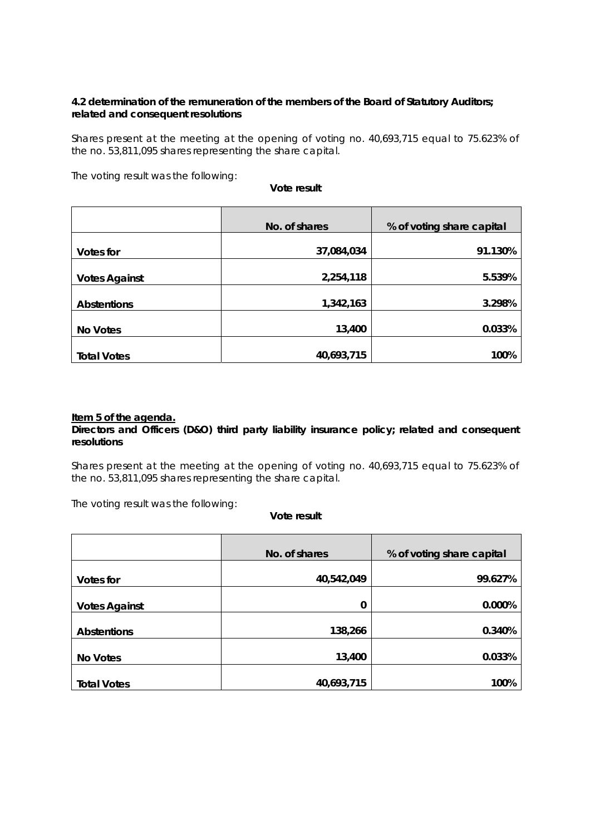## **4.2 determination of the remuneration of the members of the Board of Statutory Auditors;**  *related and consequent resolutions*

Shares present at the meeting at the opening of voting no. 40,693,715 equal to 75.623% of the no. 53,811,095 shares representing the share capital.

The voting result was the following:

**Vote result** 

|                      | No. of shares | % of voting share capital |
|----------------------|---------------|---------------------------|
| <b>Votes for</b>     | 37,084,034    | 91.130%                   |
| <b>Votes Against</b> | 2,254,118     | 5.539%                    |
| <b>Abstentions</b>   | 1,342,163     | 3.298%                    |
| <b>No Votes</b>      | 13,400        | 0.033%                    |
| <b>Total Votes</b>   | 40,693,715    | 100%                      |

#### **Item 5 of the agenda.**

## *Directors and Officers (D&O) third party liability insurance policy; related and consequent resolutions*

Shares present at the meeting at the opening of voting no. 40,693,715 equal to 75.623% of the no. 53,811,095 shares representing the share capital.

The voting result was the following:

|                      | No. of shares | % of voting share capital |
|----------------------|---------------|---------------------------|
| <b>Votes for</b>     | 40,542,049    | 99.627%                   |
| <b>Votes Against</b> | 0             | 0.000%                    |
| <b>Abstentions</b>   | 138,266       | 0.340%                    |
| <b>No Votes</b>      | 13,400        | 0.033%                    |
| <b>Total Votes</b>   | 40,693,715    | 100%                      |